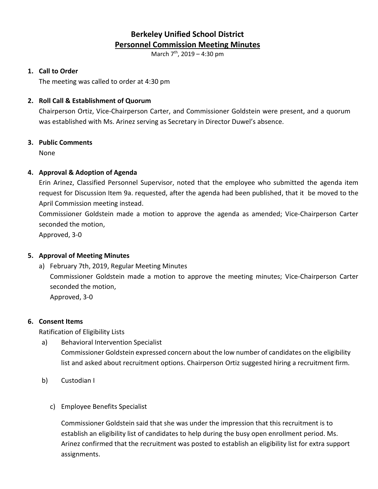# **Berkeley Unified School District Personnel Commission Meeting Minutes**

March 7<sup>th</sup>, 2019 – 4:30 pm

# **1. Call to Order**

The meeting was called to order at 4:30 pm

# **2. Roll Call & Establishment of Quorum**

Chairperson Ortiz, Vice-Chairperson Carter, and Commissioner Goldstein were present, and a quorum was established with Ms. Arinez serving as Secretary in Director Duwel's absence.

### **3. Public Comments**

None

### **4. Approval & Adoption of Agenda**

Erin Arinez, Classified Personnel Supervisor, noted that the employee who submitted the agenda item request for Discussion Item 9a. requested, after the agenda had been published, that it be moved to the April Commission meeting instead.

Commissioner Goldstein made a motion to approve the agenda as amended; Vice-Chairperson Carter seconded the motion,

Approved, 3-0

# **5. Approval of Meeting Minutes**

a) February 7th, 2019, Regular Meeting Minutes

Commissioner Goldstein made a motion to approve the meeting minutes; Vice-Chairperson Carter seconded the motion,

Approved, 3-0

# **6. Consent Items**

Ratification of Eligibility Lists

- a) Behavioral Intervention Specialist Commissioner Goldstein expressed concern about the low number of candidates on the eligibility list and asked about recruitment options. Chairperson Ortiz suggested hiring a recruitment firm.
- b) Custodian I
	- c) Employee Benefits Specialist

Commissioner Goldstein said that she was under the impression that this recruitment is to establish an eligibility list of candidates to help during the busy open enrollment period. Ms. Arinez confirmed that the recruitment was posted to establish an eligibility list for extra support assignments.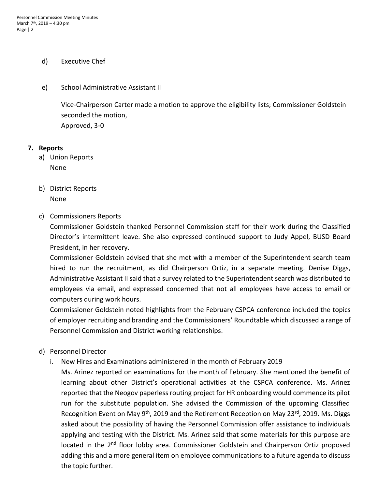### d) Executive Chef

e) School Administrative Assistant II

Vice-Chairperson Carter made a motion to approve the eligibility lists; Commissioner Goldstein seconded the motion, Approved, 3-0

#### **7. Reports**

- a) Union Reports None
- b) District Reports None
- c) Commissioners Reports

Commissioner Goldstein thanked Personnel Commission staff for their work during the Classified Director's intermittent leave. She also expressed continued support to Judy Appel, BUSD Board President, in her recovery.

Commissioner Goldstein advised that she met with a member of the Superintendent search team hired to run the recruitment, as did Chairperson Ortiz, in a separate meeting. Denise Diggs, Administrative Assistant II said that a survey related to the Superintendent search was distributed to employees via email, and expressed concerned that not all employees have access to email or computers during work hours.

Commissioner Goldstein noted highlights from the February CSPCA conference included the topics of employer recruiting and branding and the Commissioners' Roundtable which discussed a range of Personnel Commission and District working relationships.

- d) Personnel Director
	- i. New Hires and Examinations administered in the month of February 2019

Ms. Arinez reported on examinations for the month of February. She mentioned the benefit of learning about other District's operational activities at the CSPCA conference. Ms. Arinez reported that the Neogov paperless routing project for HR onboarding would commence its pilot run for the substitute population. She advised the Commission of the upcoming Classified Recognition Event on May 9<sup>th</sup>, 2019 and the Retirement Reception on May 23<sup>rd</sup>, 2019. Ms. Diggs asked about the possibility of having the Personnel Commission offer assistance to individuals applying and testing with the District. Ms. Arinez said that some materials for this purpose are located in the 2<sup>nd</sup> floor lobby area. Commissioner Goldstein and Chairperson Ortiz proposed adding this and a more general item on employee communications to a future agenda to discuss the topic further.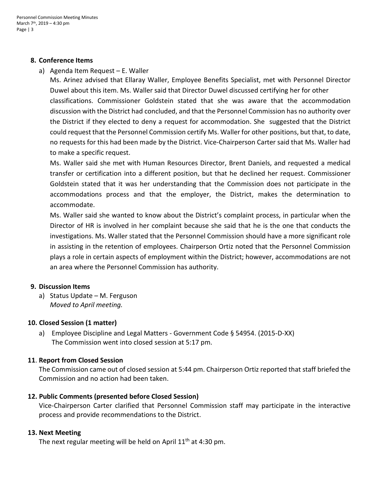### **8. Conference Items**

a) Agenda Item Request – E. Waller

Ms. Arinez advised that Ellaray Waller, Employee Benefits Specialist, met with Personnel Director Duwel about this item. Ms. Waller said that Director Duwel discussed certifying her for other classifications. Commissioner Goldstein stated that she was aware that the accommodation discussion with the District had concluded, and that the Personnel Commission has no authority over the District if they elected to deny a request for accommodation. She suggested that the District could request that the Personnel Commission certify Ms. Waller for other positions, but that, to date, no requests for this had been made by the District. Vice-Chairperson Carter said that Ms. Waller had to make a specific request.

Ms. Waller said she met with Human Resources Director, Brent Daniels, and requested a medical transfer or certification into a different position, but that he declined her request. Commissioner Goldstein stated that it was her understanding that the Commission does not participate in the accommodations process and that the employer, the District, makes the determination to accommodate.

Ms. Waller said she wanted to know about the District's complaint process, in particular when the Director of HR is involved in her complaint because she said that he is the one that conducts the investigations. Ms. Waller stated that the Personnel Commission should have a more significant role in assisting in the retention of employees. Chairperson Ortiz noted that the Personnel Commission plays a role in certain aspects of employment within the District; however, accommodations are not an area where the Personnel Commission has authority.

### **9. Discussion Items**

a) Status Update – M. Ferguson *Moved to April meeting.*

### **10. Closed Session (1 matter)**

a) Employee Discipline and Legal Matters - Government Code § 54954. (2015-D-XX) The Commission went into closed session at 5:17 pm.

### **11**. **Report from Closed Session**

The Commission came out of closed session at 5:44 pm. Chairperson Ortiz reported that staff briefed the Commission and no action had been taken.

# **12. Public Comments (presented before Closed Session)**

Vice-Chairperson Carter clarified that Personnel Commission staff may participate in the interactive process and provide recommendations to the District.

### **13. Next Meeting**

The next regular meeting will be held on April  $11<sup>th</sup>$  at 4:30 pm.